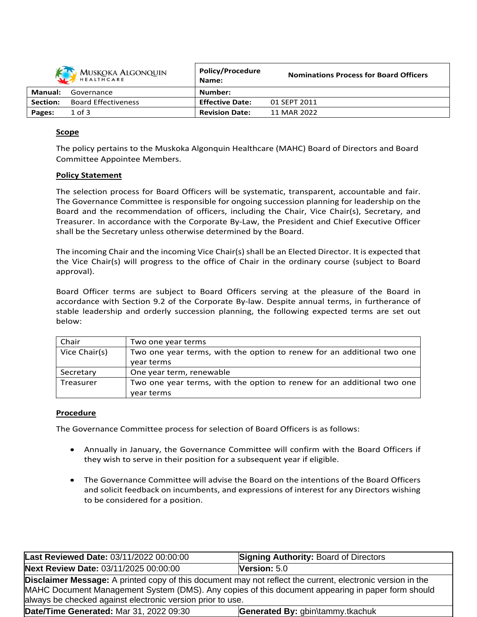| MUSKOKA ALGONQUIN |                            | <b>Policy/Procedure</b><br>Name: | <b>Nominations Process for Board Officers</b> |
|-------------------|----------------------------|----------------------------------|-----------------------------------------------|
| <b>Manual:</b>    | Governance                 | Number:                          |                                               |
| Section:          | <b>Board Effectiveness</b> | <b>Effective Date:</b>           | 01 SEPT 2011                                  |
| Pages:            | $1$ of $3$                 | <b>Revision Date:</b>            | 11 MAR 2022                                   |

# **Scope**

The policy pertains to the Muskoka Algonquin Healthcare (MAHC) Board of Directors and Board Committee Appointee Members.

### **Policy Statement**

The selection process for Board Officers will be systematic, transparent, accountable and fair. The Governance Committee is responsible for ongoing succession planning for leadership on the Board and the recommendation of officers, including the Chair, Vice Chair(s), Secretary, and Treasurer. In accordance with the Corporate By-Law, the President and Chief Executive Officer shall be the Secretary unless otherwise determined by the Board.

The incoming Chair and the incoming Vice Chair(s) shall be an Elected Director. It is expected that the Vice Chair(s) will progress to the office of Chair in the ordinary course (subject to Board approval).

Board Officer terms are subject to Board Officers serving at the pleasure of the Board in accordance with Section 9.2 of the Corporate By-law. Despite annual terms, in furtherance of stable leadership and orderly succession planning, the following expected terms are set out below:

| Chair         | Two one year terms                                                     |
|---------------|------------------------------------------------------------------------|
| Vice Chair(s) | Two one year terms, with the option to renew for an additional two one |
|               | year terms                                                             |
| Secretary     | One year term, renewable                                               |
| Treasurer     | Two one year terms, with the option to renew for an additional two one |
|               | year terms                                                             |

#### **Procedure**

The Governance Committee process for selection of Board Officers is as follows:

- Annually in January, the Governance Committee will confirm with the Board Officers if they wish to serve in their position for a subsequent year if eligible.
- The Governance Committee will advise the Board on the intentions of the Board Officers and solicit feedback on incumbents, and expressions of interest for any Directors wishing to be considered for a position.

| Last Reviewed Date: 03/11/2022 00:00:00                                                                                                                                                                                                                                              | <b>Signing Authority: Board of Directors</b> |  |
|--------------------------------------------------------------------------------------------------------------------------------------------------------------------------------------------------------------------------------------------------------------------------------------|----------------------------------------------|--|
| Next Review Date: 03/11/2025 00:00:00                                                                                                                                                                                                                                                | Version: $5.0$                               |  |
| <b>Disclaimer Message:</b> A printed copy of this document may not reflect the current, electronic version in the<br>MAHC Document Management System (DMS). Any copies of this document appearing in paper form should<br>always be checked against electronic version prior to use. |                                              |  |
| Date/Time Generated: Mar 31, 2022 09:30                                                                                                                                                                                                                                              | Generated By: gbin\tammy.tkachuk             |  |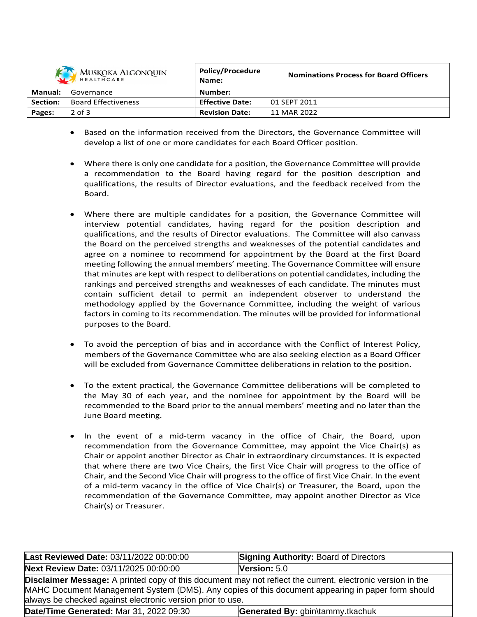| <b>MUSKOKA ALGONQUIN</b><br>HEALTHCARE |                            | <b>Policy/Procedure</b><br>Name: | <b>Nominations Process for Board Officers</b> |
|----------------------------------------|----------------------------|----------------------------------|-----------------------------------------------|
| Manual:                                | Governance                 | Number:                          |                                               |
| Section:                               | <b>Board Effectiveness</b> | <b>Effective Date:</b>           | 01 SEPT 2011                                  |
| Pages:                                 | $2$ of $3$                 | <b>Revision Date:</b>            | 11 MAR 2022                                   |

- Based on the information received from the Directors, the Governance Committee will develop a list of one or more candidates for each Board Officer position.
- Where there is only one candidate for a position, the Governance Committee will provide a recommendation to the Board having regard for the position description and qualifications, the results of Director evaluations, and the feedback received from the Board.
- Where there are multiple candidates for a position, the Governance Committee will interview potential candidates, having regard for the position description and qualifications, and the results of Director evaluations. The Committee will also canvass the Board on the perceived strengths and weaknesses of the potential candidates and agree on a nominee to recommend for appointment by the Board at the first Board meeting following the annual members' meeting. The Governance Committee will ensure that minutes are kept with respect to deliberations on potential candidates, including the rankings and perceived strengths and weaknesses of each candidate. The minutes must contain sufficient detail to permit an independent observer to understand the methodology applied by the Governance Committee, including the weight of various factors in coming to its recommendation. The minutes will be provided for informational purposes to the Board.
- To avoid the perception of bias and in accordance with the Conflict of Interest Policy, members of the Governance Committee who are also seeking election as a Board Officer will be excluded from Governance Committee deliberations in relation to the position.
- To the extent practical, the Governance Committee deliberations will be completed to the May 30 of each year, and the nominee for appointment by the Board will be recommended to the Board prior to the annual members' meeting and no later than the June Board meeting.
- In the event of a mid-term vacancy in the office of Chair, the Board, upon recommendation from the Governance Committee, may appoint the Vice Chair(s) as Chair or appoint another Director as Chair in extraordinary circumstances. It is expected that where there are two Vice Chairs, the first Vice Chair will progress to the office of Chair, and the Second Vice Chair will progress to the office of first Vice Chair. In the event of a mid-term vacancy in the office of Vice Chair(s) or Treasurer, the Board, upon the recommendation of the Governance Committee, may appoint another Director as Vice Chair(s) or Treasurer.

| Last Reviewed Date: 03/11/2022 00:00:00                                                                                                                                                                                                                                       | <b>Signing Authority: Board of Directors</b> |  |
|-------------------------------------------------------------------------------------------------------------------------------------------------------------------------------------------------------------------------------------------------------------------------------|----------------------------------------------|--|
| Next Review Date: 03/11/2025 00:00:00                                                                                                                                                                                                                                         | Version: 5.0                                 |  |
| Disclaimer Message: A printed copy of this document may not reflect the current, electronic version in the<br>MAHC Document Management System (DMS). Any copies of this document appearing in paper form should<br>always be checked against electronic version prior to use. |                                              |  |
| Date/Time Generated: Mar 31, 2022 09:30                                                                                                                                                                                                                                       | Generated By: gbin\tammy.tkachuk             |  |